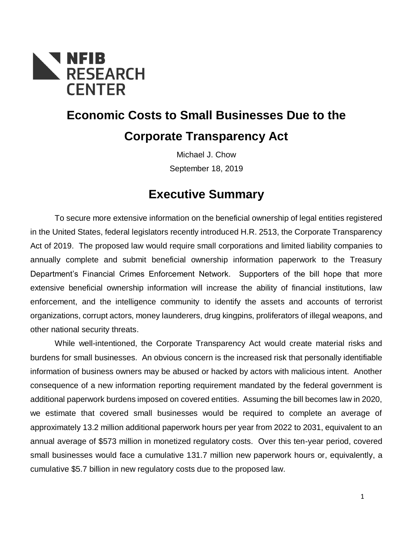

# **Economic Costs to Small Businesses Due to the Corporate Transparency Act**

Michael J. Chow September 18, 2019

# **Executive Summary**

To secure more extensive information on the beneficial ownership of legal entities registered in the United States, federal legislators recently introduced H.R. 2513, the Corporate Transparency Act of 2019. The proposed law would require small corporations and limited liability companies to annually complete and submit beneficial ownership information paperwork to the Treasury Department's Financial Crimes Enforcement Network. Supporters of the bill hope that more extensive beneficial ownership information will increase the ability of financial institutions, law enforcement, and the intelligence community to identify the assets and accounts of terrorist organizations, corrupt actors, money launderers, drug kingpins, proliferators of illegal weapons, and other national security threats.

While well-intentioned, the Corporate Transparency Act would create material risks and burdens for small businesses. An obvious concern is the increased risk that personally identifiable information of business owners may be abused or hacked by actors with malicious intent. Another consequence of a new information reporting requirement mandated by the federal government is additional paperwork burdens imposed on covered entities. Assuming the bill becomes law in 2020, we estimate that covered small businesses would be required to complete an average of approximately 13.2 million additional paperwork hours per year from 2022 to 2031, equivalent to an annual average of \$573 million in monetized regulatory costs. Over this ten-year period, covered small businesses would face a cumulative 131.7 million new paperwork hours or, equivalently, a cumulative \$5.7 billion in new regulatory costs due to the proposed law.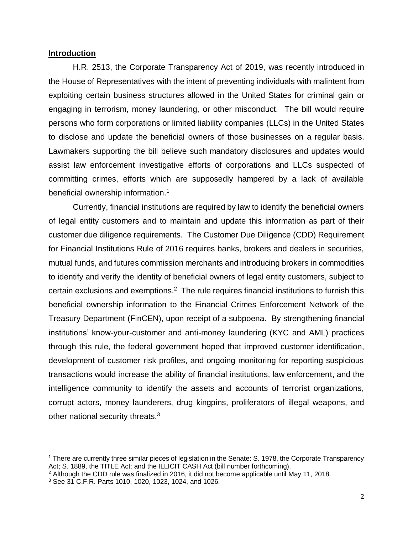#### **Introduction**

H.R. 2513, the Corporate Transparency Act of 2019, was recently introduced in the House of Representatives with the intent of preventing individuals with malintent from exploiting certain business structures allowed in the United States for criminal gain or engaging in terrorism, money laundering, or other misconduct. The bill would require persons who form corporations or limited liability companies (LLCs) in the United States to disclose and update the beneficial owners of those businesses on a regular basis. Lawmakers supporting the bill believe such mandatory disclosures and updates would assist law enforcement investigative efforts of corporations and LLCs suspected of committing crimes, efforts which are supposedly hampered by a lack of available beneficial ownership information.<sup>1</sup>

Currently, financial institutions are required by law to identify the beneficial owners of legal entity customers and to maintain and update this information as part of their customer due diligence requirements. The Customer Due Diligence (CDD) Requirement for Financial Institutions Rule of 2016 requires banks, brokers and dealers in securities, mutual funds, and futures commission merchants and introducing brokers in commodities to identify and verify the identity of beneficial owners of legal entity customers, subject to certain exclusions and exemptions.<sup>2</sup> The rule requires financial institutions to furnish this beneficial ownership information to the Financial Crimes Enforcement Network of the Treasury Department (FinCEN), upon receipt of a subpoena. By strengthening financial institutions' know-your-customer and anti-money laundering (KYC and AML) practices through this rule, the federal government hoped that improved customer identification, development of customer risk profiles, and ongoing monitoring for reporting suspicious transactions would increase the ability of financial institutions, law enforcement, and the intelligence community to identify the assets and accounts of terrorist organizations, corrupt actors, money launderers, drug kingpins, proliferators of illegal weapons, and other national security threats.<sup>3</sup>

<sup>&</sup>lt;sup>1</sup> There are currently three similar pieces of legislation in the Senate: S. 1978, the Corporate Transparency Act; S. 1889, the TITLE Act; and the ILLICIT CASH Act (bill number forthcoming).

 $2$  Although the CDD rule was finalized in 2016, it did not become applicable until May 11, 2018.

<sup>3</sup> See 31 C.F.R. Parts 1010, 1020, 1023, 1024, and 1026.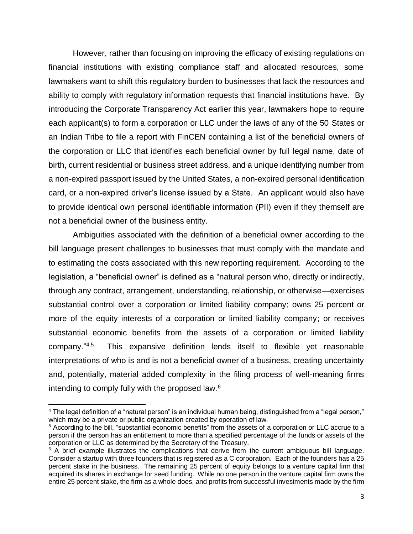However, rather than focusing on improving the efficacy of existing regulations on financial institutions with existing compliance staff and allocated resources, some lawmakers want to shift this regulatory burden to businesses that lack the resources and ability to comply with regulatory information requests that financial institutions have. By introducing the Corporate Transparency Act earlier this year, lawmakers hope to require each applicant(s) to form a corporation or LLC under the laws of any of the 50 States or an Indian Tribe to file a report with FinCEN containing a list of the beneficial owners of the corporation or LLC that identifies each beneficial owner by full legal name, date of birth, current residential or business street address, and a unique identifying number from a non-expired passport issued by the United States, a non-expired personal identification card, or a non-expired driver's license issued by a State. An applicant would also have to provide identical own personal identifiable information (PII) even if they themself are not a beneficial owner of the business entity.

Ambiguities associated with the definition of a beneficial owner according to the bill language present challenges to businesses that must comply with the mandate and to estimating the costs associated with this new reporting requirement. According to the legislation, a "beneficial owner" is defined as a "natural person who, directly or indirectly, through any contract, arrangement, understanding, relationship, or otherwise—exercises substantial control over a corporation or limited liability company; owns 25 percent or more of the equity interests of a corporation or limited liability company; or receives substantial economic benefits from the assets of a corporation or limited liability company." 4,5 This expansive definition lends itself to flexible yet reasonable interpretations of who is and is not a beneficial owner of a business, creating uncertainty and, potentially, material added complexity in the filing process of well-meaning firms intending to comply fully with the proposed law.<sup>6</sup>

 $\overline{a}$ <sup>4</sup> The legal definition of a "natural person" is an individual human being, distinguished from a "legal person," which may be a private or public organization created by operation of law.

<sup>5</sup> According to the bill, "substantial economic benefits" from the assets of a corporation or LLC accrue to a person if the person has an entitlement to more than a specified percentage of the funds or assets of the corporation or LLC as determined by the Secretary of the Treasury.

 $6$  A brief example illustrates the complications that derive from the current ambiguous bill language. Consider a startup with three founders that is registered as a C corporation. Each of the founders has a 25 percent stake in the business. The remaining 25 percent of equity belongs to a venture capital firm that acquired its shares in exchange for seed funding. While no one person in the venture capital firm owns the entire 25 percent stake, the firm as a whole does, and profits from successful investments made by the firm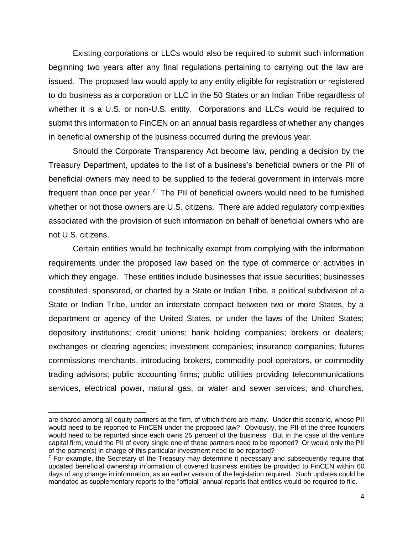Existing corporations or LLCs would also be required to submit such information beginning two years after any final regulations pertaining to carrying out the law are issued. The proposed law would apply to any entity eligible for registration or registered to do business as a corporation or LLC in the 50 States or an Indian Tribe regardless of whether it is a U.S. or non-U.S. entity. Corporations and LLCs would be required to submit this information to FinCEN on an annual basis regardless of whether any changes in beneficial ownership of the business occurred during the previous year.

Should the Corporate Transparency Act become law, pending a decision by the Treasury Department, updates to the list of a business's beneficial owners or the PII of beneficial owners may need to be supplied to the federal government in intervals more frequent than once per year.<sup>7</sup> The PII of beneficial owners would need to be furnished whether or not those owners are U.S. citizens. There are added regulatory complexities associated with the provision of such information on behalf of beneficial owners who are not U.S. citizens.

Certain entities would be technically exempt from complying with the information requirements under the proposed law based on the type of commerce or activities in which they engage. These entities include businesses that issue securities; businesses constituted, sponsored, or charted by a State or Indian Tribe, a political subdivision of a State or Indian Tribe, under an interstate compact between two or more States, by a department or agency of the United States, or under the laws of the United States; depository institutions; credit unions; bank holding companies; brokers or dealers; exchanges or clearing agencies; investment companies; insurance companies; futures commissions merchants, introducing brokers, commodity pool operators, or commodity trading advisors; public accounting firms; public utilities providing telecommunications services, electrical power, natural gas, or water and sewer services; and churches,

are shared among all equity partners at the firm, of which there are many. Under this scenario, whose PII would need to be reported to FinCEN under the proposed law? Obviously, the PII of the three founders would need to be reported since each owns 25 percent of the business. But in the case of the venture capital firm, would the PII of every single one of these partners need to be reported? Or would only the PII of the partner(s) in charge of this particular investment need to be reported?

<sup>&</sup>lt;sup>7</sup> For example, the Secretary of the Treasury may determine it necessary and subsequently require that updated beneficial ownership information of covered business entities be provided to FinCEN within 60 days of any change in information, as an earlier version of the legislation required. Such updates could be mandated as supplementary reports to the "official" annual reports that entities would be required to file.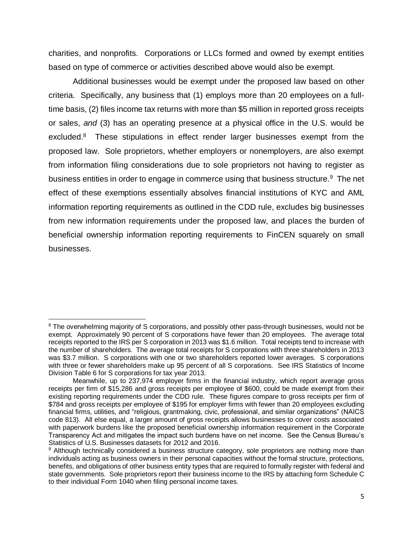charities, and nonprofits. Corporations or LLCs formed and owned by exempt entities based on type of commerce or activities described above would also be exempt.

Additional businesses would be exempt under the proposed law based on other criteria. Specifically, any business that (1) employs more than 20 employees on a fulltime basis, (2) files income tax returns with more than \$5 million in reported gross receipts or sales, *and* (3) has an operating presence at a physical office in the U.S. would be excluded.<sup>8</sup> These stipulations in effect render larger businesses exempt from the proposed law. Sole proprietors, whether employers or nonemployers, are also exempt from information filing considerations due to sole proprietors not having to register as business entities in order to engage in commerce using that business structure.<sup>9</sup> The net effect of these exemptions essentially absolves financial institutions of KYC and AML information reporting requirements as outlined in the CDD rule, excludes big businesses from new information requirements under the proposed law, and places the burden of beneficial ownership information reporting requirements to FinCEN squarely on small businesses.

<sup>&</sup>lt;sup>8</sup> The overwhelming majority of S corporations, and possibly other pass-through businesses, would not be exempt. Approximately 90 percent of S corporations have fewer than 20 employees. The average total receipts reported to the IRS per S corporation in 2013 was \$1.6 million. Total receipts tend to increase with the number of shareholders. The average total receipts for S corporations with three shareholders in 2013 was \$3.7 million. S corporations with one or two shareholders reported lower averages. S corporations with three or fewer shareholders make up 95 percent of all S corporations. See IRS Statistics of Income Division Table 6 for S corporations for tax year 2013.

Meanwhile, up to 237,974 employer firms in the financial industry, which report average gross receipts per firm of \$15,286 and gross receipts per employee of \$600, could be made exempt from their existing reporting requirements under the CDD rule. These figures compare to gross receipts per firm of \$784 and gross receipts per employee of \$195 for employer firms with fewer than 20 employees excluding financial firms, utilities, and "religious, grantmaking, civic, professional, and similar organizations" (NAICS code 813). All else equal, a larger amount of gross receipts allows businesses to cover costs associated with paperwork burdens like the proposed beneficial ownership information requirement in the Corporate Transparency Act and mitigates the impact such burdens have on net income. See the Census Bureau's Statistics of U.S. Businesses datasets for 2012 and 2016.

<sup>&</sup>lt;sup>9</sup> Although technically considered a business structure category, sole proprietors are nothing more than individuals acting as business owners in their personal capacities without the formal structure, protections, benefits, and obligations of other business entity types that are required to formally register with federal and state governments. Sole proprietors report their business income to the IRS by attaching form Schedule C to their individual Form 1040 when filing personal income taxes.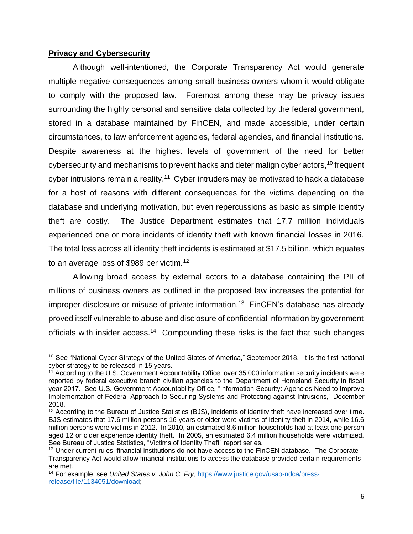### **Privacy and Cybersecurity**

Although well-intentioned, the Corporate Transparency Act would generate multiple negative consequences among small business owners whom it would obligate to comply with the proposed law. Foremost among these may be privacy issues surrounding the highly personal and sensitive data collected by the federal government, stored in a database maintained by FinCEN, and made accessible, under certain circumstances, to law enforcement agencies, federal agencies, and financial institutions. Despite awareness at the highest levels of government of the need for better cybersecurity and mechanisms to prevent hacks and deter malign cyber actors,<sup>10</sup> frequent cyber intrusions remain a reality.<sup>11</sup> Cyber intruders may be motivated to hack a database for a host of reasons with different consequences for the victims depending on the database and underlying motivation, but even repercussions as basic as simple identity theft are costly. The Justice Department estimates that 17.7 million individuals experienced one or more incidents of identity theft with known financial losses in 2016. The total loss across all identity theft incidents is estimated at \$17.5 billion, which equates to an average loss of \$989 per victim.<sup>12</sup>

Allowing broad access by external actors to a database containing the PII of millions of business owners as outlined in the proposed law increases the potential for improper disclosure or misuse of private information.<sup>13</sup> FinCEN's database has already proved itself vulnerable to abuse and disclosure of confidential information by government officials with insider access.<sup>14</sup> Compounding these risks is the fact that such changes

 $\overline{a}$ <sup>10</sup> See "National Cyber Strategy of the United States of America," September 2018. It is the first national cyber strategy to be released in 15 years.

 $11$  According to the U.S. Government Accountability Office, over 35,000 information security incidents were reported by federal executive branch civilian agencies to the Department of Homeland Security in fiscal year 2017. See U.S. Government Accountability Office, "Information Security: Agencies Need to Improve Implementation of Federal Approach to Securing Systems and Protecting against Intrusions," December 2018.

<sup>&</sup>lt;sup>12</sup> According to the Bureau of Justice Statistics (BJS), incidents of identity theft have increased over time. BJS estimates that 17.6 million persons 16 years or older were victims of identity theft in 2014, while 16.6 million persons were victims in 2012. In 2010, an estimated 8.6 million households had at least one person aged 12 or older experience identity theft. In 2005, an estimated 6.4 million households were victimized. See Bureau of Justice Statistics, "Victims of Identity Theft" report series.

<sup>&</sup>lt;sup>13</sup> Under current rules, financial institutions do not have access to the FinCEN database. The Corporate Transparency Act would allow financial institutions to access the database provided certain requirements are met.

<sup>14</sup> For example, see *United States v. John C. Fry*[, https://www.justice.gov/usao-ndca/press](https://www.justice.gov/usao-ndca/press-release/file/1134051/download)[release/file/1134051/download;](https://www.justice.gov/usao-ndca/press-release/file/1134051/download)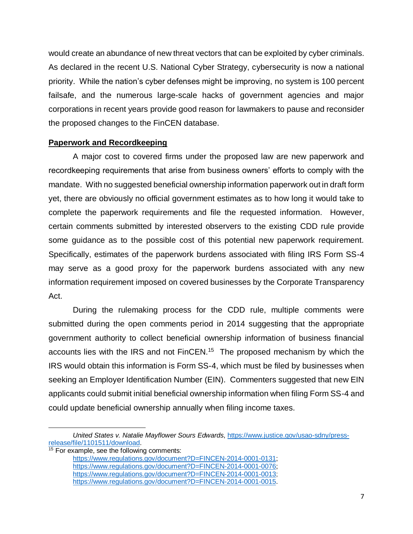would create an abundance of new threat vectors that can be exploited by cyber criminals. As declared in the recent U.S. National Cyber Strategy, cybersecurity is now a national priority. While the nation's cyber defenses might be improving, no system is 100 percent failsafe, and the numerous large-scale hacks of government agencies and major corporations in recent years provide good reason for lawmakers to pause and reconsider the proposed changes to the FinCEN database.

## **Paperwork and Recordkeeping**

A major cost to covered firms under the proposed law are new paperwork and recordkeeping requirements that arise from business owners' efforts to comply with the mandate. With no suggested beneficial ownership information paperwork out in draft form yet, there are obviously no official government estimates as to how long it would take to complete the paperwork requirements and file the requested information. However, certain comments submitted by interested observers to the existing CDD rule provide some guidance as to the possible cost of this potential new paperwork requirement. Specifically, estimates of the paperwork burdens associated with filing IRS Form SS-4 may serve as a good proxy for the paperwork burdens associated with any new information requirement imposed on covered businesses by the Corporate Transparency Act.

During the rulemaking process for the CDD rule, multiple comments were submitted during the open comments period in 2014 suggesting that the appropriate government authority to collect beneficial ownership information of business financial accounts lies with the IRS and not FinCEN.<sup>15</sup> The proposed mechanism by which the IRS would obtain this information is Form SS-4, which must be filed by businesses when seeking an Employer Identification Number (EIN). Commenters suggested that new EIN applicants could submit initial beneficial ownership information when filing Form SS-4 and could update beneficial ownership annually when filing income taxes.

 $\overline{\phantom{a}}$ 

*United States v. Natalie Mayflower Sours Edwards*, [https://www.justice.gov/usao-sdny/press](https://www.justice.gov/usao-sdny/press-release/file/1101511/download)[release/file/1101511/download.](https://www.justice.gov/usao-sdny/press-release/file/1101511/download)

 $15$  For example, see the following comments:

[https://www.regulations.gov/document?D=FINCEN-2014-0001-0131;](https://www.regulations.gov/document?D=FINCEN-2014-0001-0131) [https://www.regulations.gov/document?D=FINCEN-2014-0001-0076;](https://www.regulations.gov/document?D=FINCEN-2014-0001-0076) [https://www.regulations.gov/document?D=FINCEN-2014-0001-0013;](https://www.regulations.gov/document?D=FINCEN-2014-0001-0013) [https://www.regulations.gov/document?D=FINCEN-2014-0001-0015.](https://www.regulations.gov/document?D=FINCEN-2014-0001-0015)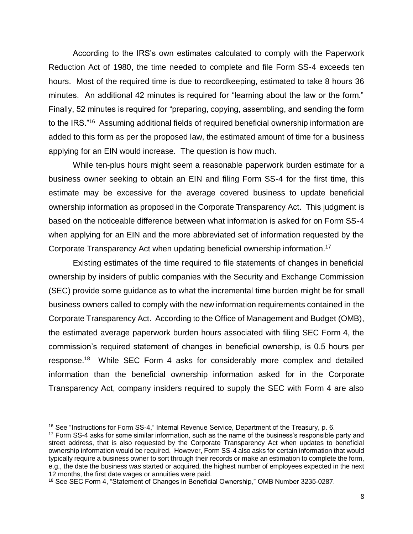According to the IRS's own estimates calculated to comply with the Paperwork Reduction Act of 1980, the time needed to complete and file Form SS-4 exceeds ten hours. Most of the required time is due to recordkeeping, estimated to take 8 hours 36 minutes. An additional 42 minutes is required for "learning about the law or the form." Finally, 52 minutes is required for "preparing, copying, assembling, and sending the form to the IRS."<sup>16</sup> Assuming additional fields of required beneficial ownership information are added to this form as per the proposed law, the estimated amount of time for a business applying for an EIN would increase. The question is how much.

While ten-plus hours might seem a reasonable paperwork burden estimate for a business owner seeking to obtain an EIN and filing Form SS-4 for the first time, this estimate may be excessive for the average covered business to update beneficial ownership information as proposed in the Corporate Transparency Act. This judgment is based on the noticeable difference between what information is asked for on Form SS-4 when applying for an EIN and the more abbreviated set of information requested by the Corporate Transparency Act when updating beneficial ownership information.<sup>17</sup>

Existing estimates of the time required to file statements of changes in beneficial ownership by insiders of public companies with the Security and Exchange Commission (SEC) provide some guidance as to what the incremental time burden might be for small business owners called to comply with the new information requirements contained in the Corporate Transparency Act. According to the Office of Management and Budget (OMB), the estimated average paperwork burden hours associated with filing SEC Form 4, the commission's required statement of changes in beneficial ownership, is 0.5 hours per response.<sup>18</sup> While SEC Form 4 asks for considerably more complex and detailed information than the beneficial ownership information asked for in the Corporate Transparency Act, company insiders required to supply the SEC with Form 4 are also

<sup>&</sup>lt;sup>16</sup> See "Instructions for Form SS-4," Internal Revenue Service, Department of the Treasury, p. 6.

<sup>&</sup>lt;sup>17</sup> Form SS-4 asks for some similar information, such as the name of the business's responsible party and street address, that is also requested by the Corporate Transparency Act when updates to beneficial ownership information would be required. However, Form SS-4 also asks for certain information that would typically require a business owner to sort through their records or make an estimation to complete the form, e.g., the date the business was started or acquired, the highest number of employees expected in the next 12 months, the first date wages or annuities were paid.

<sup>&</sup>lt;sup>18</sup> See SEC Form 4, "Statement of Changes in Beneficial Ownership," OMB Number 3235-0287.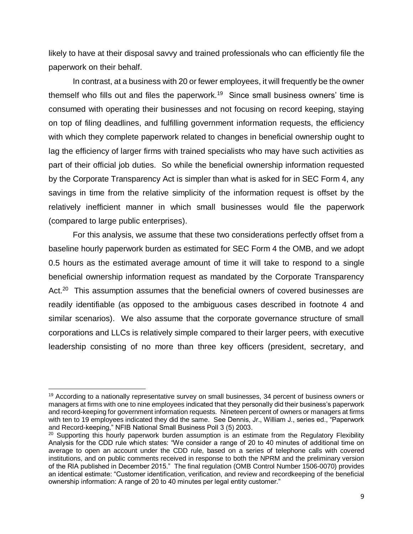likely to have at their disposal savvy and trained professionals who can efficiently file the paperwork on their behalf.

In contrast, at a business with 20 or fewer employees, it will frequently be the owner themself who fills out and files the paperwork.<sup>19</sup> Since small business owners' time is consumed with operating their businesses and not focusing on record keeping, staying on top of filing deadlines, and fulfilling government information requests, the efficiency with which they complete paperwork related to changes in beneficial ownership ought to lag the efficiency of larger firms with trained specialists who may have such activities as part of their official job duties. So while the beneficial ownership information requested by the Corporate Transparency Act is simpler than what is asked for in SEC Form 4, any savings in time from the relative simplicity of the information request is offset by the relatively inefficient manner in which small businesses would file the paperwork (compared to large public enterprises).

For this analysis, we assume that these two considerations perfectly offset from a baseline hourly paperwork burden as estimated for SEC Form 4 the OMB, and we adopt 0.5 hours as the estimated average amount of time it will take to respond to a single beneficial ownership information request as mandated by the Corporate Transparency Act.<sup>20</sup> This assumption assumes that the beneficial owners of covered businesses are readily identifiable (as opposed to the ambiguous cases described in footnote 4 and similar scenarios). We also assume that the corporate governance structure of small corporations and LLCs is relatively simple compared to their larger peers, with executive leadership consisting of no more than three key officers (president, secretary, and

 $19$  According to a nationally representative survey on small businesses, 34 percent of business owners or managers at firms with one to nine employees indicated that they personally did their business's paperwork and record-keeping for government information requests. Nineteen percent of owners or managers at firms with ten to 19 employees indicated they did the same. See Dennis, Jr., William J., series ed., "Paperwork and Record-keeping," NFIB National Small Business Poll 3 (5) 2003.

 $20$  Supporting this hourly paperwork burden assumption is an estimate from the Regulatory Flexibility Analysis for the CDD rule which states: "We consider a range of 20 to 40 minutes of additional time on average to open an account under the CDD rule, based on a series of telephone calls with covered institutions, and on public comments received in response to both the NPRM and the preliminary version of the RIA published in December 2015." The final regulation (OMB Control Number 1506-0070) provides an identical estimate: "Customer identification, verification, and review and recordkeeping of the beneficial ownership information: A range of 20 to 40 minutes per legal entity customer."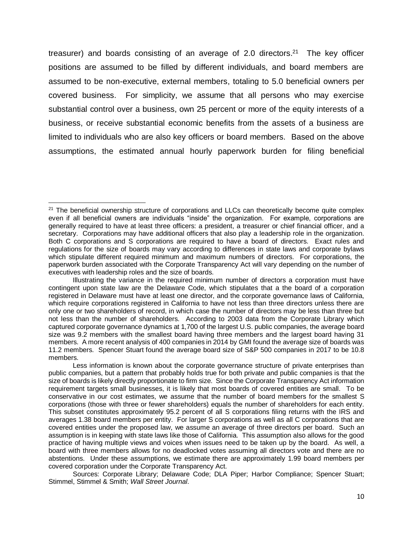treasurer) and boards consisting of an average of 2.0 directors.<sup>21</sup> The key officer positions are assumed to be filled by different individuals, and board members are assumed to be non-executive, external members, totaling to 5.0 beneficial owners per covered business. For simplicity, we assume that all persons who may exercise substantial control over a business, own 25 percent or more of the equity interests of a business, or receive substantial economic benefits from the assets of a business are limited to individuals who are also key officers or board members. Based on the above assumptions, the estimated annual hourly paperwork burden for filing beneficial

 $\overline{\phantom{a}}$ 

<sup>&</sup>lt;sup>21</sup> The beneficial ownership structure of corporations and LLCs can theoretically become quite complex even if all beneficial owners are individuals "inside" the organization. For example, corporations are generally required to have at least three officers: a president, a treasurer or chief financial officer, and a secretary. Corporations may have additional officers that also play a leadership role in the organization. Both C corporations and S corporations are required to have a board of directors. Exact rules and regulations for the size of boards may vary according to differences in state laws and corporate bylaws which stipulate different required minimum and maximum numbers of directors. For corporations, the paperwork burden associated with the Corporate Transparency Act will vary depending on the number of executives with leadership roles and the size of boards.

Illustrating the variance in the required minimum number of directors a corporation must have contingent upon state law are the Delaware Code, which stipulates that a the board of a corporation registered in Delaware must have at least one director, and the corporate governance laws of California, which require corporations registered in California to have not less than three directors unless there are only one or two shareholders of record, in which case the number of directors may be less than three but not less than the number of shareholders. According to 2003 data from the Corporate Library which captured corporate governance dynamics at 1,700 of the largest U.S. public companies, the average board size was 9.2 members with the smallest board having three members and the largest board having 31 members. A more recent analysis of 400 companies in 2014 by GMI found the average size of boards was 11.2 members. Spencer Stuart found the average board size of S&P 500 companies in 2017 to be 10.8 members.

Less information is known about the corporate governance structure of private enterprises than public companies, but a pattern that probably holds true for both private and public companies is that the size of boards is likely directly proportionate to firm size. Since the Corporate Transparency Act information requirement targets small businesses, it is likely that most boards of covered entities are small. To be conservative in our cost estimates, we assume that the number of board members for the smallest S corporations (those with three or fewer shareholders) equals the number of shareholders for each entity. This subset constitutes approximately 95.2 percent of all S corporations filing returns with the IRS and averages 1.38 board members per entity. For larger S corporations as well as all C corporations that are covered entities under the proposed law, we assume an average of three directors per board. Such an assumption is in keeping with state laws like those of California. This assumption also allows for the good practice of having multiple views and voices when issues need to be taken up by the board. As well, a board with three members allows for no deadlocked votes assuming all directors vote and there are no abstentions. Under these assumptions, we estimate there are approximately 1.99 board members per covered corporation under the Corporate Transparency Act.

Sources: Corporate Library; Delaware Code; DLA Piper; Harbor Compliance; Spencer Stuart; Stimmel, Stimmel & Smith; *Wall Street Journal*.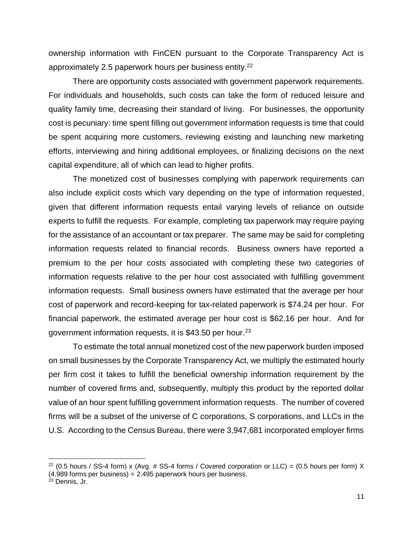ownership information with FinCEN pursuant to the Corporate Transparency Act is approximately 2.5 paperwork hours per business entity.<sup>22</sup>

There are opportunity costs associated with government paperwork requirements. For individuals and households, such costs can take the form of reduced leisure and quality family time, decreasing their standard of living. For businesses, the opportunity cost is pecuniary: time spent filling out government information requests is time that could be spent acquiring more customers, reviewing existing and launching new marketing efforts, interviewing and hiring additional employees, or finalizing decisions on the next capital expenditure, all of which can lead to higher profits.

The monetized cost of businesses complying with paperwork requirements can also include explicit costs which vary depending on the type of information requested, given that different information requests entail varying levels of reliance on outside experts to fulfill the requests. For example, completing tax paperwork may require paying for the assistance of an accountant or tax preparer. The same may be said for completing information requests related to financial records. Business owners have reported a premium to the per hour costs associated with completing these two categories of information requests relative to the per hour cost associated with fulfilling government information requests. Small business owners have estimated that the average per hour cost of paperwork and record-keeping for tax-related paperwork is \$74.24 per hour. For financial paperwork, the estimated average per hour cost is \$62.16 per hour. And for government information requests, it is \$43.50 per hour.<sup>23</sup>

To estimate the total annual monetized cost of the new paperwork burden imposed on small businesses by the Corporate Transparency Act, we multiply the estimated hourly per firm cost it takes to fulfill the beneficial ownership information requirement by the number of covered firms and, subsequently, multiply this product by the reported dollar value of an hour spent fulfilling government information requests. The number of covered firms will be a subset of the universe of C corporations, S corporations, and LLCs in the U.S. According to the Census Bureau, there were 3,947,681 incorporated employer firms

<sup>&</sup>lt;sup>22</sup> (0.5 hours / SS-4 form) x (Avg. # SS-4 forms / Covered corporation or LLC) = (0.5 hours per form) X (4.989 forms per business) = 2.495 paperwork hours per business.

<sup>&</sup>lt;sup>23</sup> Dennis, Jr.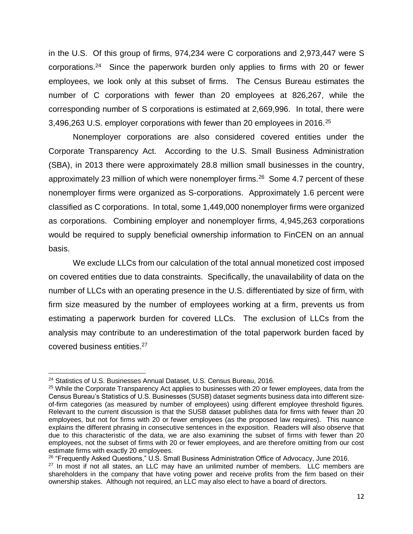in the U.S. Of this group of firms, 974,234 were C corporations and 2,973,447 were S corporations.<sup>24</sup> Since the paperwork burden only applies to firms with 20 or fewer employees, we look only at this subset of firms. The Census Bureau estimates the number of C corporations with fewer than 20 employees at 826,267, while the corresponding number of S corporations is estimated at 2,669,996. In total, there were 3,496,263 U.S. employer corporations with fewer than 20 employees in 2016.<sup>25</sup>

Nonemployer corporations are also considered covered entities under the Corporate Transparency Act. According to the U.S. Small Business Administration (SBA), in 2013 there were approximately 28.8 million small businesses in the country, approximately 23 million of which were nonemployer firms. $26$  Some 4.7 percent of these nonemployer firms were organized as S-corporations. Approximately 1.6 percent were classified as C corporations. In total, some 1,449,000 nonemployer firms were organized as corporations. Combining employer and nonemployer firms, 4,945,263 corporations would be required to supply beneficial ownership information to FinCEN on an annual basis.

We exclude LLCs from our calculation of the total annual monetized cost imposed on covered entities due to data constraints. Specifically, the unavailability of data on the number of LLCs with an operating presence in the U.S. differentiated by size of firm, with firm size measured by the number of employees working at a firm, prevents us from estimating a paperwork burden for covered LLCs. The exclusion of LLCs from the analysis may contribute to an underestimation of the total paperwork burden faced by covered business entities.<sup>27</sup>

 $\overline{\phantom{a}}$ 

<sup>&</sup>lt;sup>24</sup> Statistics of U.S. Businesses Annual Dataset, U.S. Census Bureau, 2016.

<sup>&</sup>lt;sup>25</sup> While the Corporate Transparency Act applies to businesses with 20 or fewer employees, data from the Census Bureau's Statistics of U.S. Businesses (SUSB) dataset segments business data into different sizeof-firm categories (as measured by number of employees) using different employee threshold figures. Relevant to the current discussion is that the SUSB dataset publishes data for firms with fewer than 20 employees, but not for firms with 20 or fewer employees (as the proposed law requires). This nuance explains the different phrasing in consecutive sentences in the exposition. Readers will also observe that due to this characteristic of the data, we are also examining the subset of firms with fewer than 20 employees, not the subset of firms with 20 or fewer employees, and are therefore omitting from our cost estimate firms with exactly 20 employees.

<sup>&</sup>lt;sup>26</sup> "Frequently Asked Questions," U.S. Small Business Administration Office of Advocacy, June 2016.

 $27$  In most if not all states, an LLC may have an unlimited number of members. LLC members are shareholders in the company that have voting power and receive profits from the firm based on their ownership stakes. Although not required, an LLC may also elect to have a board of directors.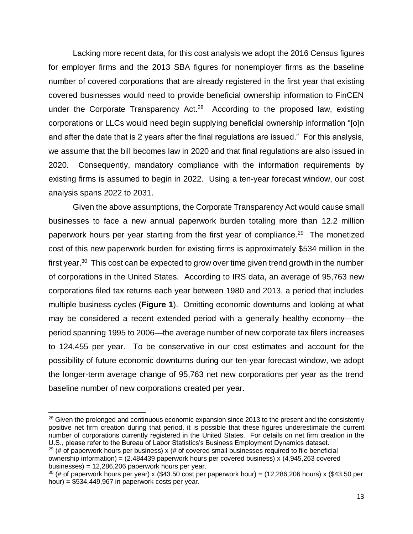Lacking more recent data, for this cost analysis we adopt the 2016 Census figures for employer firms and the 2013 SBA figures for nonemployer firms as the baseline number of covered corporations that are already registered in the first year that existing covered businesses would need to provide beneficial ownership information to FinCEN under the Corporate Transparency Act. $28$  According to the proposed law, existing corporations or LLCs would need begin supplying beneficial ownership information "[o]n and after the date that is 2 years after the final regulations are issued." For this analysis, we assume that the bill becomes law in 2020 and that final regulations are also issued in 2020. Consequently, mandatory compliance with the information requirements by existing firms is assumed to begin in 2022. Using a ten-year forecast window, our cost analysis spans 2022 to 2031.

Given the above assumptions, the Corporate Transparency Act would cause small businesses to face a new annual paperwork burden totaling more than 12.2 million paperwork hours per year starting from the first year of compliance.<sup>29</sup> The monetized cost of this new paperwork burden for existing firms is approximately \$534 million in the first year.<sup>30</sup> This cost can be expected to grow over time given trend growth in the number of corporations in the United States. According to IRS data, an average of 95,763 new corporations filed tax returns each year between 1980 and 2013, a period that includes multiple business cycles (**Figure 1**). Omitting economic downturns and looking at what may be considered a recent extended period with a generally healthy economy—the period spanning 1995 to 2006—the average number of new corporate tax filers increases to 124,455 per year. To be conservative in our cost estimates and account for the possibility of future economic downturns during our ten-year forecast window, we adopt the longer-term average change of 95,763 net new corporations per year as the trend baseline number of new corporations created per year.

<sup>&</sup>lt;sup>28</sup> Given the prolonged and continuous economic expansion since 2013 to the present and the consistently positive net firm creation during that period, it is possible that these figures underestimate the current number of corporations currently registered in the United States. For details on net firm creation in the U.S., please refer to the Bureau of Labor Statistics's Business Employment Dynamics dataset.

 $29$  (# of paperwork hours per business) x (# of covered small businesses required to file beneficial ownership information) = (2.484439 paperwork hours per covered business) x (4,945,263 covered businesses) = 12,286,206 paperwork hours per year.

 $30$  (# of paperwork hours per year) x (\$43.50 cost per paperwork hour) = (12,286,206 hours) x (\$43.50 per hour) = \$534,449,967 in paperwork costs per year.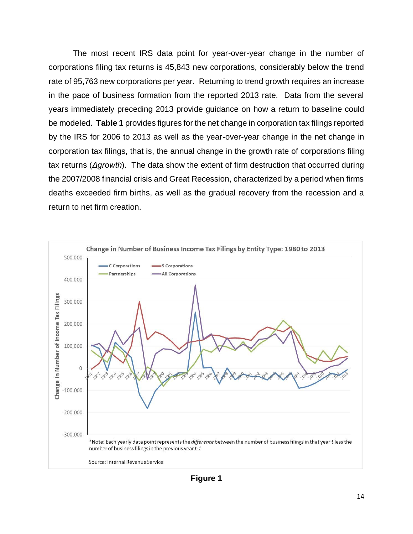The most recent IRS data point for year-over-year change in the number of corporations filing tax returns is 45,843 new corporations, considerably below the trend rate of 95,763 new corporations per year. Returning to trend growth requires an increase in the pace of business formation from the reported 2013 rate. Data from the several years immediately preceding 2013 provide guidance on how a return to baseline could be modeled. **Table 1** provides figures for the net change in corporation tax filings reported by the IRS for 2006 to 2013 as well as the year-over-year change in the net change in corporation tax filings, that is, the annual change in the growth rate of corporations filing tax returns (*Δgrowth*). The data show the extent of firm destruction that occurred during the 2007/2008 financial crisis and Great Recession, characterized by a period when firms deaths exceeded firm births, as well as the gradual recovery from the recession and a return to net firm creation.



**Figure 1**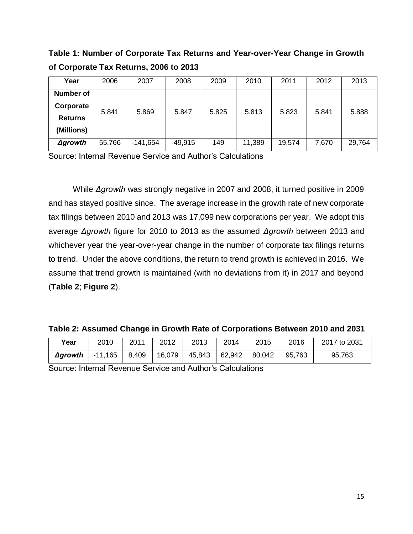**Table 1: Number of Corporate Tax Returns and Year-over-Year Change in Growth of Corporate Tax Returns, 2006 to 2013**

| Year            | 2006   | 2007       | 2008      | 2009  | 2010   | 2011   | 2012  | 2013   |
|-----------------|--------|------------|-----------|-------|--------|--------|-------|--------|
| Number of       |        |            |           |       |        |        |       |        |
| Corporate       | 5.841  | 5.869      | 5.847     | 5.825 | 5.813  | 5.823  | 5.841 | 5.888  |
| <b>Returns</b>  |        |            |           |       |        |        |       |        |
| (Millions)      |        |            |           |       |        |        |       |        |
| $\Delta$ growth | 55,766 | $-141,654$ | $-49,915$ | 149   | 11,389 | 19,574 | 7,670 | 29,764 |

Source: Internal Revenue Service and Author's Calculations

While *Δgrowth* was strongly negative in 2007 and 2008, it turned positive in 2009 and has stayed positive since. The average increase in the growth rate of new corporate tax filings between 2010 and 2013 was 17,099 new corporations per year. We adopt this average *Δgrowth* figure for 2010 to 2013 as the assumed *Δgrowth* between 2013 and whichever year the year-over-year change in the number of corporate tax filings returns to trend. Under the above conditions, the return to trend growth is achieved in 2016. We assume that trend growth is maintained (with no deviations from it) in 2017 and beyond (**Table 2**; **Figure 2**).

**Table 2: Assumed Change in Growth Rate of Corporations Between 2010 and 2031**

| Year    | 2010      | 2011  | 2012   | 2013   | 2014   | 2015   | 2016   | 2017 to 2031 |
|---------|-----------|-------|--------|--------|--------|--------|--------|--------------|
| Δgrowth | $-11,165$ | 8,409 | 16,079 | 45,843 | 62,942 | 80,042 | 95,763 | 95,763       |

Source: Internal Revenue Service and Author's Calculations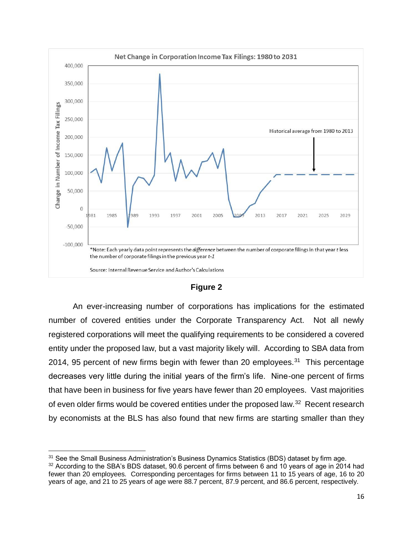

#### **Figure 2**

An ever-increasing number of corporations has implications for the estimated number of covered entities under the Corporate Transparency Act. Not all newly registered corporations will meet the qualifying requirements to be considered a covered entity under the proposed law, but a vast majority likely will. According to SBA data from 2014, 95 percent of new firms begin with fewer than 20 employees.<sup>31</sup> This percentage decreases very little during the initial years of the firm's life. Nine-one percent of firms that have been in business for five years have fewer than 20 employees. Vast majorities of even older firms would be covered entities under the proposed law.<sup>32</sup> Recent research by economists at the BLS has also found that new firms are starting smaller than they

<sup>&</sup>lt;sup>31</sup> See the Small Business Administration's Business Dynamics Statistics (BDS) dataset by firm age.

<sup>&</sup>lt;sup>32</sup> According to the SBA's BDS dataset, 90.6 percent of firms between 6 and 10 years of age in 2014 had fewer than 20 employees. Corresponding percentages for firms between 11 to 15 years of age, 16 to 20 years of age, and 21 to 25 years of age were 88.7 percent, 87.9 percent, and 86.6 percent, respectively.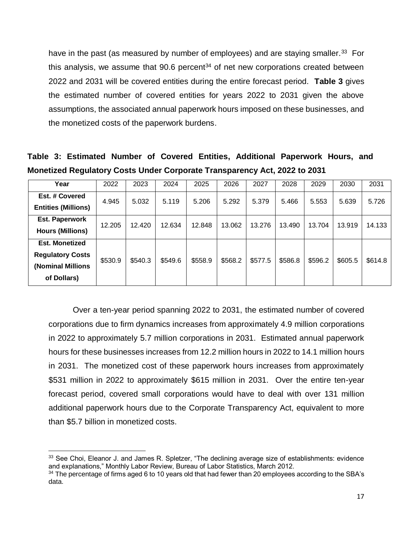have in the past (as measured by number of employees) and are staying smaller.<sup>33</sup> For this analysis, we assume that  $90.6$  percent<sup>34</sup> of net new corporations created between 2022 and 2031 will be covered entities during the entire forecast period. **Table 3** gives the estimated number of covered entities for years 2022 to 2031 given the above assumptions, the associated annual paperwork hours imposed on these businesses, and the monetized costs of the paperwork burdens.

**Table 3: Estimated Number of Covered Entities, Additional Paperwork Hours, and Monetized Regulatory Costs Under Corporate Transparency Act, 2022 to 2031**

| Year                                         | 2022    | 2023    | 2024    | 2025    | 2026    | 2027    | 2028    | 2029    | 2030    | 2031    |
|----------------------------------------------|---------|---------|---------|---------|---------|---------|---------|---------|---------|---------|
| Est. # Covered<br><b>Entities (Millions)</b> | 4.945   | 5.032   | 5.119   | 5.206   | 5.292   | 5.379   | 5.466   | 5.553   | 5.639   | 5.726   |
|                                              |         |         |         |         |         |         |         |         |         |         |
| Est. Paperwork                               | 12.205  | 12.420  | 12.634  | 12.848  | 13.062  | 13.276  | 13.490  | 13.704  | 13.919  | 14.133  |
| <b>Hours (Millions)</b>                      |         |         |         |         |         |         |         |         |         |         |
| <b>Est. Monetized</b>                        |         |         |         |         |         |         |         |         |         |         |
| <b>Regulatory Costs</b>                      | \$530.9 | \$540.3 | \$549.6 | \$558.9 | \$568.2 | \$577.5 | \$586.8 | \$596.2 | \$605.5 | \$614.8 |
| <b>Nominal Millions</b>                      |         |         |         |         |         |         |         |         |         |         |
| of Dollars)                                  |         |         |         |         |         |         |         |         |         |         |

Over a ten-year period spanning 2022 to 2031, the estimated number of covered corporations due to firm dynamics increases from approximately 4.9 million corporations in 2022 to approximately 5.7 million corporations in 2031. Estimated annual paperwork hours for these businesses increases from 12.2 million hours in 2022 to 14.1 million hours in 2031. The monetized cost of these paperwork hours increases from approximately \$531 million in 2022 to approximately \$615 million in 2031. Over the entire ten-year forecast period, covered small corporations would have to deal with over 131 million additional paperwork hours due to the Corporate Transparency Act, equivalent to more than \$5.7 billion in monetized costs.

 $\overline{a}$ <sup>33</sup> See Choi, Eleanor J. and James R. Spletzer, "The declining average size of establishments: evidence and explanations," Monthly Labor Review, Bureau of Labor Statistics, March 2012.

<sup>&</sup>lt;sup>34</sup> The percentage of firms aged 6 to 10 years old that had fewer than 20 employees according to the SBA's data.